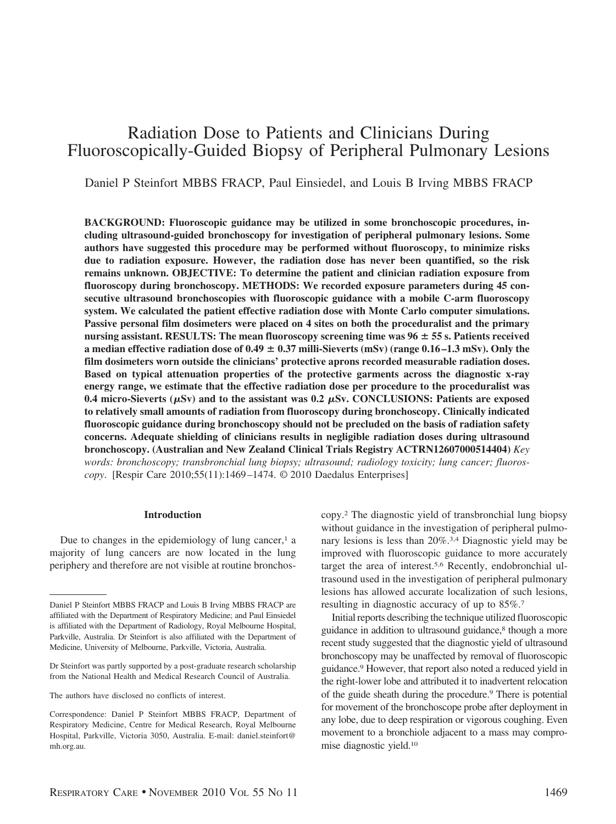# Radiation Dose to Patients and Clinicians During Fluoroscopically-Guided Biopsy of Peripheral Pulmonary Lesions

Daniel P Steinfort MBBS FRACP, Paul Einsiedel, and Louis B Irving MBBS FRACP

**BACKGROUND: Fluoroscopic guidance may be utilized in some bronchoscopic procedures, including ultrasound-guided bronchoscopy for investigation of peripheral pulmonary lesions. Some authors have suggested this procedure may be performed without fluoroscopy, to minimize risks due to radiation exposure. However, the radiation dose has never been quantified, so the risk remains unknown. OBJECTIVE: To determine the patient and clinician radiation exposure from fluoroscopy during bronchoscopy. METHODS: We recorded exposure parameters during 45 consecutive ultrasound bronchoscopies with fluoroscopic guidance with a mobile C-arm fluoroscopy system. We calculated the patient effective radiation dose with Monte Carlo computer simulations. Passive personal film dosimeters were placed on 4 sites on both the proceduralist and the primary nursing assistant. RESULTS: The mean fluoroscopy screening time was 96 55 s. Patients received a median effective radiation dose of**  $0.49 \pm 0.37$  **milli-Sieverts (mSv) (range**  $0.16 - 1.3$  **mSv). Only the film dosimeters worn outside the clinicians' protective aprons recorded measurable radiation doses. Based on typical attenuation properties of the protective garments across the diagnostic x-ray energy range, we estimate that the effective radiation dose per procedure to the proceduralist was**  $0.4$  micro-Sieverts ( $\mu$ Sv) and to the assistant was  $0.2 \mu$ Sv. CONCLUSIONS: Patients are exposed **to relatively small amounts of radiation from fluoroscopy during bronchoscopy. Clinically indicated fluoroscopic guidance during bronchoscopy should not be precluded on the basis of radiation safety concerns. Adequate shielding of clinicians results in negligible radiation doses during ultrasound bronchoscopy. (Australian and New Zealand Clinical Trials Registry ACTRN12607000514404)** *Key words: bronchoscopy; transbronchial lung biopsy; ultrasound; radiology toxicity; lung cancer; fluoroscopy*. [Respir Care 2010;55(11):1469 –1474. © 2010 Daedalus Enterprises]

### **Introduction**

Due to changes in the epidemiology of lung cancer, $<sup>1</sup>$  a</sup> majority of lung cancers are now located in the lung periphery and therefore are not visible at routine bronchoscopy.2 The diagnostic yield of transbronchial lung biopsy without guidance in the investigation of peripheral pulmonary lesions is less than 20%<sup>3,4</sup> Diagnostic yield may be improved with fluoroscopic guidance to more accurately target the area of interest.5,6 Recently, endobronchial ultrasound used in the investigation of peripheral pulmonary lesions has allowed accurate localization of such lesions, resulting in diagnostic accuracy of up to 85%.7

Initial reports describing the technique utilized fluoroscopic guidance in addition to ultrasound guidance,<sup>8</sup> though a more recent study suggested that the diagnostic yield of ultrasound bronchoscopy may be unaffected by removal of fluoroscopic guidance.9 However, that report also noted a reduced yield in the right-lower lobe and attributed it to inadvertent relocation of the guide sheath during the procedure.9 There is potential for movement of the bronchoscope probe after deployment in any lobe, due to deep respiration or vigorous coughing. Even movement to a bronchiole adjacent to a mass may compromise diagnostic yield.10

Daniel P Steinfort MBBS FRACP and Louis B Irving MBBS FRACP are affiliated with the Department of Respiratory Medicine; and Paul Einsiedel is affiliated with the Department of Radiology, Royal Melbourne Hospital, Parkville, Australia. Dr Steinfort is also affiliated with the Department of Medicine, University of Melbourne, Parkville, Victoria, Australia.

Dr Steinfort was partly supported by a post-graduate research scholarship from the National Health and Medical Research Council of Australia.

The authors have disclosed no conflicts of interest.

Correspondence: Daniel P Steinfort MBBS FRACP, Department of Respiratory Medicine, Centre for Medical Research, Royal Melbourne Hospital, Parkville, Victoria 3050, Australia. E-mail: daniel.steinfort@ mh.org.au.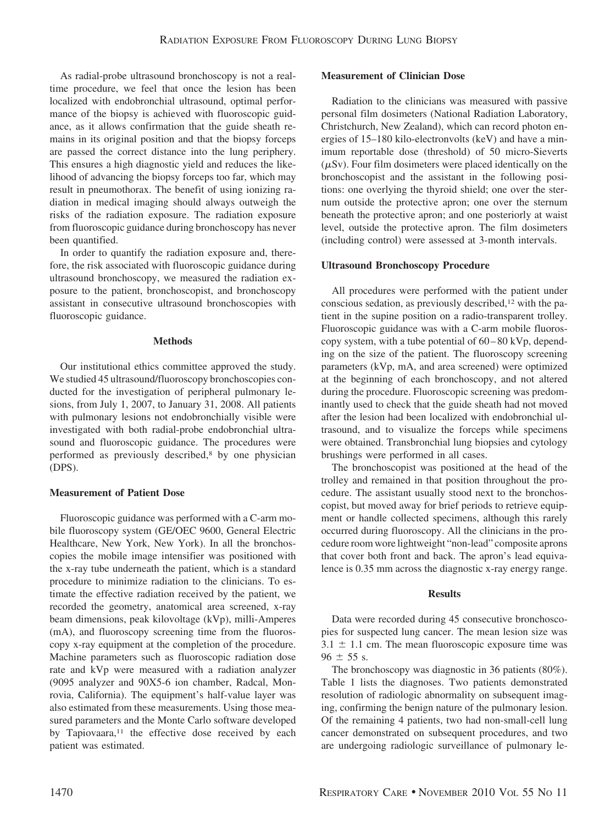As radial-probe ultrasound bronchoscopy is not a realtime procedure, we feel that once the lesion has been localized with endobronchial ultrasound, optimal performance of the biopsy is achieved with fluoroscopic guidance, as it allows confirmation that the guide sheath remains in its original position and that the biopsy forceps are passed the correct distance into the lung periphery. This ensures a high diagnostic yield and reduces the likelihood of advancing the biopsy forceps too far, which may result in pneumothorax. The benefit of using ionizing radiation in medical imaging should always outweigh the risks of the radiation exposure. The radiation exposure from fluoroscopic guidance during bronchoscopy has never been quantified.

In order to quantify the radiation exposure and, therefore, the risk associated with fluoroscopic guidance during ultrasound bronchoscopy, we measured the radiation exposure to the patient, bronchoscopist, and bronchoscopy assistant in consecutive ultrasound bronchoscopies with fluoroscopic guidance.

## **Methods**

Our institutional ethics committee approved the study. We studied 45 ultrasound/fluoroscopy bronchoscopies conducted for the investigation of peripheral pulmonary lesions, from July 1, 2007, to January 31, 2008. All patients with pulmonary lesions not endobronchially visible were investigated with both radial-probe endobronchial ultrasound and fluoroscopic guidance. The procedures were performed as previously described,8 by one physician (DPS).

# **Measurement of Patient Dose**

Fluoroscopic guidance was performed with a C-arm mobile fluoroscopy system (GE/OEC 9600, General Electric Healthcare, New York, New York). In all the bronchoscopies the mobile image intensifier was positioned with the x-ray tube underneath the patient, which is a standard procedure to minimize radiation to the clinicians. To estimate the effective radiation received by the patient, we recorded the geometry, anatomical area screened, x-ray beam dimensions, peak kilovoltage (kVp), milli-Amperes (mA), and fluoroscopy screening time from the fluoroscopy x-ray equipment at the completion of the procedure. Machine parameters such as fluoroscopic radiation dose rate and kVp were measured with a radiation analyzer (9095 analyzer and 90X5-6 ion chamber, Radcal, Monrovia, California). The equipment's half-value layer was also estimated from these measurements. Using those measured parameters and the Monte Carlo software developed by Tapiovaara,<sup>11</sup> the effective dose received by each patient was estimated.

# **Measurement of Clinician Dose**

Radiation to the clinicians was measured with passive personal film dosimeters (National Radiation Laboratory, Christchurch, New Zealand), which can record photon energies of 15–180 kilo-electronvolts (keV) and have a minimum reportable dose (threshold) of 50 micro-Sieverts  $(\mu Sv)$ . Four film dosimeters were placed identically on the bronchoscopist and the assistant in the following positions: one overlying the thyroid shield; one over the sternum outside the protective apron; one over the sternum beneath the protective apron; and one posteriorly at waist level, outside the protective apron. The film dosimeters (including control) were assessed at 3-month intervals.

## **Ultrasound Bronchoscopy Procedure**

All procedures were performed with the patient under conscious sedation, as previously described,<sup>12</sup> with the patient in the supine position on a radio-transparent trolley. Fluoroscopic guidance was with a C-arm mobile fluoroscopy system, with a tube potential of  $60 - 80$  kVp, depending on the size of the patient. The fluoroscopy screening parameters (kVp, mA, and area screened) were optimized at the beginning of each bronchoscopy, and not altered during the procedure. Fluoroscopic screening was predominantly used to check that the guide sheath had not moved after the lesion had been localized with endobronchial ultrasound, and to visualize the forceps while specimens were obtained. Transbronchial lung biopsies and cytology brushings were performed in all cases.

The bronchoscopist was positioned at the head of the trolley and remained in that position throughout the procedure. The assistant usually stood next to the bronchoscopist, but moved away for brief periods to retrieve equipment or handle collected specimens, although this rarely occurred during fluoroscopy. All the clinicians in the procedure room wore lightweight "non-lead" composite aprons that cover both front and back. The apron's lead equivalence is 0.35 mm across the diagnostic x-ray energy range.

#### **Results**

Data were recorded during 45 consecutive bronchoscopies for suspected lung cancer. The mean lesion size was  $3.1 \pm 1.1$  cm. The mean fluoroscopic exposure time was  $96 + 55$  s.

The bronchoscopy was diagnostic in 36 patients (80%). Table 1 lists the diagnoses. Two patients demonstrated resolution of radiologic abnormality on subsequent imaging, confirming the benign nature of the pulmonary lesion. Of the remaining 4 patients, two had non-small-cell lung cancer demonstrated on subsequent procedures, and two are undergoing radiologic surveillance of pulmonary le-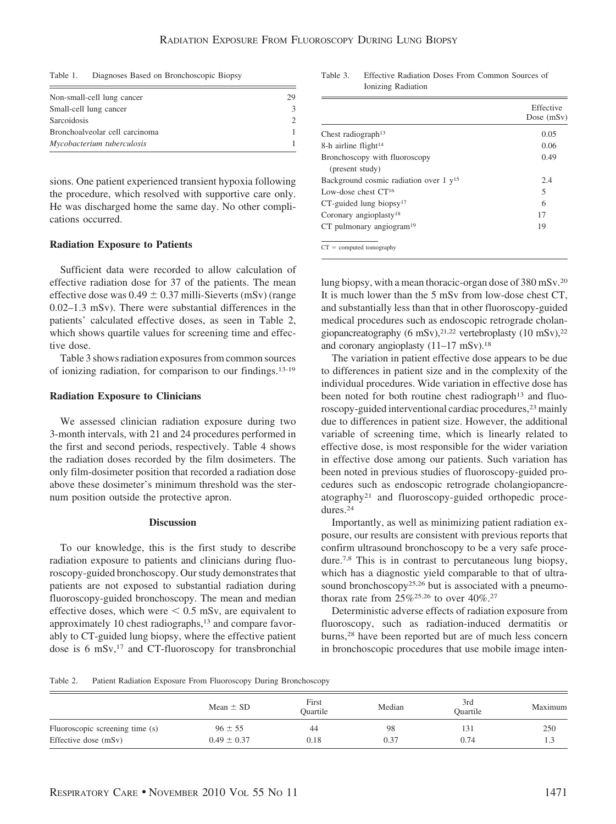Table 1. Diagnoses Based on Bronchoscopic Biopsy

| Non-small-cell lung cancer     | 29 |
|--------------------------------|----|
| Small-cell lung cancer         |    |
| Sarcoidosis                    |    |
| Bronchoalveolar cell carcinoma |    |
| Mycobacterium tuberculosis     |    |

sions. One patient experienced transient hypoxia following the procedure, which resolved with supportive care only. He was discharged home the same day. No other complications occurred.

# **Radiation Exposure to Patients**

Sufficient data were recorded to allow calculation of effective radiation dose for 37 of the patients. The mean effective dose was  $0.49 \pm 0.37$  milli-Sieverts (mSv) (range 0.02–1.3 mSv). There were substantial differences in the patients' calculated effective doses, as seen in Table 2, which shows quartile values for screening time and effective dose.

Table 3 shows radiation exposures from common sources of ionizing radiation, for comparison to our findings.13-19

### **Radiation Exposure to Clinicians**

We assessed clinician radiation exposure during two 3-month intervals, with 21 and 24 procedures performed in the first and second periods, respectively. Table 4 shows the radiation doses recorded by the film dosimeters. The only film-dosimeter position that recorded a radiation dose above these dosimeter's minimum threshold was the sternum position outside the protective apron.

# **Discussion**

To our knowledge, this is the first study to describe radiation exposure to patients and clinicians during fluoroscopy-guided bronchoscopy. Our study demonstrates that patients are not exposed to substantial radiation during fluoroscopy-guided bronchoscopy. The mean and median effective doses, which were  $\leq 0.5$  mSv, are equivalent to approximately 10 chest radiographs,<sup>13</sup> and compare favorably to CT-guided lung biopsy, where the effective patient dose is 6 mSv,<sup>17</sup> and CT-fluoroscopy for transbronchial

Table 3. Effective Radiation Doses From Common Sources of Ionizing Radiation

|                                                     | Effective<br>Dose $(mSv)$ |
|-----------------------------------------------------|---------------------------|
| Chest radiograph <sup>13</sup>                      | 0.05                      |
| 8-h airline flight <sup>14</sup>                    | 0.06                      |
| Bronchoscopy with fluoroscopy                       | 0.49                      |
| (present study)                                     |                           |
| Background cosmic radiation over $1 \text{ y}^{15}$ | 2.4                       |
| Low-dose chest $CT^{16}$                            | 5                         |
| $CT$ -guided lung biopsy <sup>17</sup>              | 6                         |
| Coronary angioplasty <sup>18</sup>                  | 17                        |
| CT pulmonary angiogram <sup>19</sup>                | 19                        |
| $CT = computed tomography$                          |                           |

lung biopsy, with a mean thoracic-organ dose of 380 mSv.20 It is much lower than the 5 mSv from low-dose chest CT, and substantially less than that in other fluoroscopy-guided medical procedures such as endoscopic retrograde cholangiopancreatography (6 mSv),  $2^{1,22}$  vertebroplasty (10 mSv),  $2^{2}$ and coronary angioplasty (11–17 mSv).18

The variation in patient effective dose appears to be due to differences in patient size and in the complexity of the individual procedures. Wide variation in effective dose has been noted for both routine chest radiograph<sup>13</sup> and fluoroscopy-guided interventional cardiac procedures,<sup>23</sup> mainly due to differences in patient size. However, the additional variable of screening time, which is linearly related to effective dose, is most responsible for the wider variation in effective dose among our patients. Such variation has been noted in previous studies of fluoroscopy-guided procedures such as endoscopic retrograde cholangiopancreatography21 and fluoroscopy-guided orthopedic procedures.24

Importantly, as well as minimizing patient radiation exposure, our results are consistent with previous reports that confirm ultrasound bronchoscopy to be a very safe procedure.7,8 This is in contrast to percutaneous lung biopsy, which has a diagnostic yield comparable to that of ultrasound bronchoscopy<sup>25,26</sup> but is associated with a pneumothorax rate from  $25\%^{25,26}$  to over  $40\%^{27}$ 

Deterministic adverse effects of radiation exposure from fluoroscopy, such as radiation-induced dermatitis or burns,28 have been reported but are of much less concern in bronchoscopic procedures that use mobile image inten-

Table 2. Patient Radiation Exposure From Fluoroscopy During Bronchoscopy

|                                 | Mean $\pm$ SD   | First<br>Ouartile | Median | 3rd<br>Ouartile | Maximum |
|---------------------------------|-----------------|-------------------|--------|-----------------|---------|
| Fluoroscopic screening time (s) | $96 \pm 55$     | 44                | 98     | 131             | 250     |
| Effective dose (mSv)            | $0.49 \pm 0.37$ | 0.18              | 0.37   | 0.74            | 1.3     |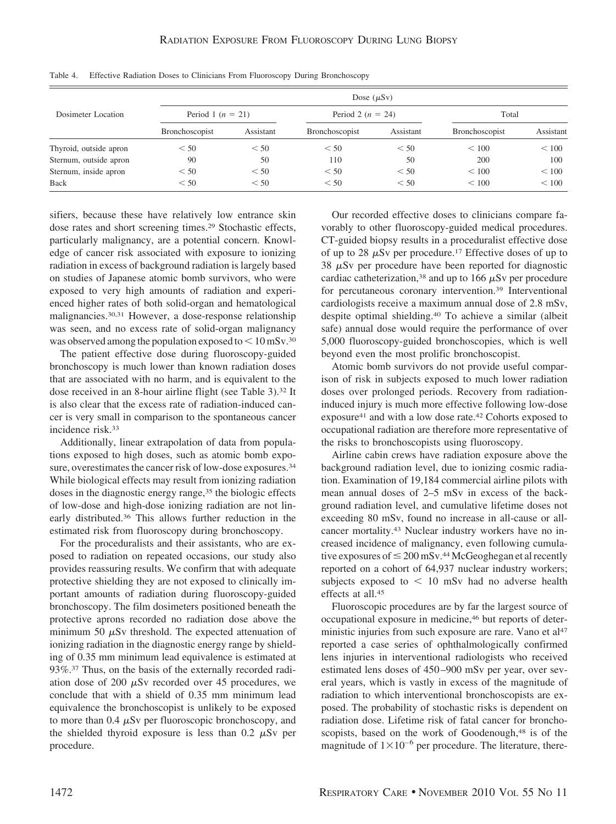| Dosimeter Location     | Dose $(\mu Sv)$       |           |                       |           |                       |           |
|------------------------|-----------------------|-----------|-----------------------|-----------|-----------------------|-----------|
|                        | Period 1 ( $n = 21$ ) |           | Period 2 ( $n = 24$ ) |           | Total                 |           |
|                        | <b>Bronchoscopist</b> | Assistant | <b>Bronchoscopist</b> | Assistant | <b>Bronchoscopist</b> | Assistant |
| Thyroid, outside apron | < 50                  | < 50      | < 50                  | < 50      | < 100                 | < 100     |
| Sternum, outside apron | 90                    | 50        | 110                   | 50        | 200                   | 100       |
| Sternum, inside apron  | < 50                  | < 50      | < 50                  | < 50      | < 100                 | < 100     |
| <b>Back</b>            | < 50                  | < 50      | < 50                  | < 50      | < 100                 | < 100     |

Table 4. Effective Radiation Doses to Clinicians From Fluoroscopy During Bronchoscopy

sifiers, because these have relatively low entrance skin dose rates and short screening times.29 Stochastic effects, particularly malignancy, are a potential concern. Knowledge of cancer risk associated with exposure to ionizing radiation in excess of background radiation is largely based on studies of Japanese atomic bomb survivors, who were exposed to very high amounts of radiation and experienced higher rates of both solid-organ and hematological malignancies.30,31 However, a dose-response relationship was seen, and no excess rate of solid-organ malignancy was observed among the population exposed to  $\leq 10$  mSv.<sup>30</sup>

The patient effective dose during fluoroscopy-guided bronchoscopy is much lower than known radiation doses that are associated with no harm, and is equivalent to the dose received in an 8-hour airline flight (see Table 3).32 It is also clear that the excess rate of radiation-induced cancer is very small in comparison to the spontaneous cancer incidence risk.33

Additionally, linear extrapolation of data from populations exposed to high doses, such as atomic bomb exposure, overestimates the cancer risk of low-dose exposures.34 While biological effects may result from ionizing radiation doses in the diagnostic energy range,<sup>35</sup> the biologic effects of low-dose and high-dose ionizing radiation are not linearly distributed.36 This allows further reduction in the estimated risk from fluoroscopy during bronchoscopy.

For the proceduralists and their assistants, who are exposed to radiation on repeated occasions, our study also provides reassuring results. We confirm that with adequate protective shielding they are not exposed to clinically important amounts of radiation during fluoroscopy-guided bronchoscopy. The film dosimeters positioned beneath the protective aprons recorded no radiation dose above the minimum 50  $\mu$ Sv threshold. The expected attenuation of ionizing radiation in the diagnostic energy range by shielding of 0.35 mm minimum lead equivalence is estimated at 93%.37 Thus, on the basis of the externally recorded radiation dose of 200  $\mu$ Sv recorded over 45 procedures, we conclude that with a shield of 0.35 mm minimum lead equivalence the bronchoscopist is unlikely to be exposed to more than 0.4  $\mu$ Sv per fluoroscopic bronchoscopy, and the shielded thyroid exposure is less than 0.2  $\mu$ Sv per procedure.

Our recorded effective doses to clinicians compare favorably to other fluoroscopy-guided medical procedures. CT-guided biopsy results in a proceduralist effective dose of up to 28  $\mu$ Sv per procedure.<sup>17</sup> Effective doses of up to  $38 \mu Sv$  per procedure have been reported for diagnostic cardiac catheterization,<sup>38</sup> and up to 166  $\mu$ Sv per procedure for percutaneous coronary intervention.39 Interventional cardiologists receive a maximum annual dose of 2.8 mSv, despite optimal shielding.40 To achieve a similar (albeit safe) annual dose would require the performance of over 5,000 fluoroscopy-guided bronchoscopies, which is well beyond even the most prolific bronchoscopist.

Atomic bomb survivors do not provide useful comparison of risk in subjects exposed to much lower radiation doses over prolonged periods. Recovery from radiationinduced injury is much more effective following low-dose exposure41 and with a low dose rate.42 Cohorts exposed to occupational radiation are therefore more representative of the risks to bronchoscopists using fluoroscopy.

Airline cabin crews have radiation exposure above the background radiation level, due to ionizing cosmic radiation. Examination of 19,184 commercial airline pilots with mean annual doses of 2–5 mSv in excess of the background radiation level, and cumulative lifetime doses not exceeding 80 mSv, found no increase in all-cause or allcancer mortality.43 Nuclear industry workers have no increased incidence of malignancy, even following cumulative exposures of  $\leq 200$  mSv.<sup>44</sup> McGeoghegan et al recently reported on a cohort of 64,937 nuclear industry workers; subjects exposed to  $\leq 10$  mSv had no adverse health effects at all.45

Fluoroscopic procedures are by far the largest source of occupational exposure in medicine,46 but reports of deterministic injuries from such exposure are rare. Vano et al<sup>47</sup> reported a case series of ophthalmologically confirmed lens injuries in interventional radiologists who received estimated lens doses of 450 –900 mSv per year, over several years, which is vastly in excess of the magnitude of radiation to which interventional bronchoscopists are exposed. The probability of stochastic risks is dependent on radiation dose. Lifetime risk of fatal cancer for bronchoscopists, based on the work of Goodenough,<sup>48</sup> is of the magnitude of  $1\times10^{-6}$  per procedure. The literature, there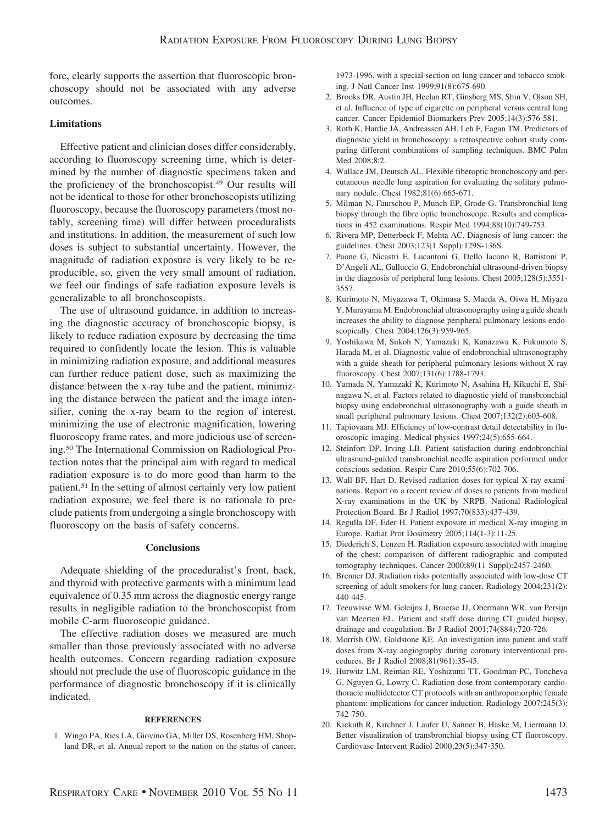fore, clearly supports the assertion that fluoroscopic bronchoscopy should not be associated with any adverse outcomes.

## **Limitations**

Effective patient and clinician doses differ considerably, according to fluoroscopy screening time, which is determined by the number of diagnostic specimens taken and the proficiency of the bronchoscopist.49 Our results will not be identical to those for other bronchoscopists utilizing fluoroscopy, because the fluoroscopy parameters (most notably, screening time) will differ between proceduralists and institutions. In addition, the measurement of such low doses is subject to substantial uncertainty. However, the magnitude of radiation exposure is very likely to be reproducible, so, given the very small amount of radiation, we feel our findings of safe radiation exposure levels is generalizable to all bronchoscopists.

The use of ultrasound guidance, in addition to increasing the diagnostic accuracy of bronchoscopic biopsy, is likely to reduce radiation exposure by decreasing the time required to confidently locate the lesion. This is valuable in minimizing radiation exposure, and additional measures can further reduce patient dose, such as maximizing the distance between the x-ray tube and the patient, minimizing the distance between the patient and the image intensifier, coning the x-ray beam to the region of interest, minimizing the use of electronic magnification, lowering fluoroscopy frame rates, and more judicious use of screening.50 The International Commission on Radiological Protection notes that the principal aim with regard to medical radiation exposure is to do more good than harm to the patient.51 In the setting of almost certainly very low patient radiation exposure, we feel there is no rationale to preclude patients from undergoing a single bronchoscopy with fluoroscopy on the basis of safety concerns.

# **Conclusions**

Adequate shielding of the proceduralist's front, back, and thyroid with protective garments with a minimum lead equivalence of 0.35 mm across the diagnostic energy range results in negligible radiation to the bronchoscopist from mobile C-arm fluoroscopic guidance.

The effective radiation doses we measured are much smaller than those previously associated with no adverse health outcomes. Concern regarding radiation exposure should not preclude the use of fluoroscopic guidance in the performance of diagnostic bronchoscopy if it is clinically indicated.

#### **REFERENCES**

1. Wingo PA, Ries LA, Giovino GA, Miller DS, Rosenberg HM, Shopland DR, et al. Annual report to the nation on the status of cancer,

1973-1996, with a special section on lung cancer and tobacco smoking. J Natl Cancer Inst 1999;91(8):675-690.

- 2. Brooks DR, Austin JH, Heelan RT, Ginsberg MS, Shin V, Olson SH, et al. Influence of type of cigarette on peripheral versus central lung cancer. Cancer Epidemiol Biomarkers Prev 2005;14(3):576-581.
- 3. Roth K, Hardie JA, Andreassen AH, Leh F, Eagan TM. Predictors of diagnostic yield in bronchoscopy: a retrospective cohort study comparing different combinations of sampling techniques. BMC Pulm Med 2008;8:2.
- 4. Wallace JM, Deutsch AL. Flexible fiberoptic bronchoscopy and percutaneous needle lung aspiration for evaluating the solitary pulmonary nodule. Chest 1982;81(6):665-671.
- 5. Milman N, Faurschou P, Munch EP, Grode G. Transbronchial lung biopsy through the fibre optic bronchoscope. Results and complications in 452 examinations. Respir Med 1994;88(10):749-753.
- 6. Rivera MP, Detterbeck F, Mehta AC. Diagnosis of lung cancer: the guidelines. Chest 2003;123(1 Suppl):129S-136S.
- 7. Paone G, Nicastri E, Lucantoni G, Dello Iacono R, Battistoni P, D'Angeli AL, Galluccio G. Endobronchial ultrasound-driven biopsy in the diagnosis of peripheral lung lesions. Chest 2005;128(5):3551- 3557.
- 8. Kurimoto N, Miyazawa T, Okimasa S, Maeda A, Oiwa H, Miyazu Y, Murayama M. Endobronchial ultrasonography using a guide sheath increases the ability to diagnose peripheral pulmonary lesions endoscopically. Chest 2004;126(3):959-965.
- 9. Yoshikawa M, Sukoh N, Yamazaki K, Kanazawa K, Fukumoto S, Harada M, et al. Diagnostic value of endobronchial ultrasonography with a guide sheath for peripheral pulmonary lesions without X-ray fluoroscopy. Chest 2007;131(6):1788-1793.
- 10. Yamada N, Yamazaki K, Kurimoto N, Asahina H, Kikuchi E, Shinagawa N, et al. Factors related to diagnostic yield of transbronchial biopsy using endobronchial ultrasonography with a guide sheath in small peripheral pulmonary lesions. Chest 2007;132(2):603-608.
- 11. Tapiovaara MJ. Efficiency of low-contrast detail detectability in fluoroscopic imaging. Medical physics 1997;24(5):655-664.
- 12. Steinfort DP, Irving LB. Patient satisfaction during endobronchial ultrasound-guided transbronchial needle aspiration performed under conscious sedation. Respir Care 2010;55(6):702-706.
- 13. Wall BF, Hart D. Revised radiation doses for typical X-ray examinations. Report on a recent review of doses to patients from medical X-ray examinations in the UK by NRPB. National Radiological Protection Board. Br J Radiol 1997;70(833):437-439.
- 14. Regulla DF, Eder H. Patient exposure in medical X-ray imaging in Europe. Radiat Prot Dosimetry 2005;114(1-3):11-25.
- 15. Diederich S, Lenzen H. Radiation exposure associated with imaging of the chest: comparison of different radiographic and computed tomography techniques. Cancer 2000;89(11 Suppl):2457-2460.
- 16. Brenner DJ. Radiation risks potentially associated with low-dose CT screening of adult smokers for lung cancer. Radiology 2004;231(2): 440-445.
- 17. Teeuwisse WM, Geleijns J, Broerse JJ, Obermann WR, van Persijn van Meerten EL. Patient and staff dose during CT guided biopsy, drainage and coagulation. Br J Radiol 2001;74(884):720-726.
- 18. Morrish OW, Goldstone KE. An investigation into patient and staff doses from X-ray angiography during coronary interventional procedures. Br J Radiol 2008;81(961):35-45.
- 19. Hurwitz LM, Reiman RE, Yoshizumi TT, Goodman PC, Toncheva G, Nguyen G, Lowry C. Radiation dose from contemporary cardiothoracic multidetector CT protocols with an anthropomorphic female phantom: implications for cancer induction. Radiology 2007:245(3): 742-750.
- 20. Kickuth R, Kirchner J, Laufer U, Sanner B, Haske M, Liermann D. Better visualization of transbronchial biopsy using CT fluoroscopy. Cardiovasc Intervent Radiol 2000;23(5):347-350.